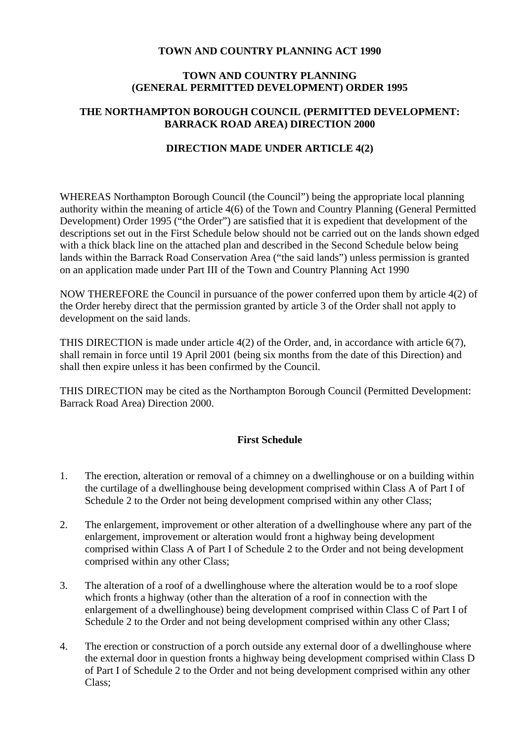## **TOWN AND COUNTRY PLANNING ACT 1990**

#### **TOWN AND COUNTRY PLANNING (GENERAL PERMITTED DEVELOPMENT) ORDER 1995**

## **THE NORTHAMPTON BOROUGH COUNCIL (PERMITTED DEVELOPMENT: BARRACK ROAD AREA) DIRECTION 2000**

#### **DIRECTION MADE UNDER ARTICLE 4(2)**

WHEREAS Northampton Borough Council (the Council") being the appropriate local planning authority within the meaning of article 4(6) of the Town and Country Planning (General Permitted Development) Order 1995 ("the Order") are satisfied that it is expedient that development of the descriptions set out in the First Schedule below should not be carried out on the lands shown edged with a thick black line on the attached plan and described in the Second Schedule below being lands within the Barrack Road Conservation Area ("the said lands") unless permission is granted on an application made under Part III of the Town and Country Planning Act 1990

NOW THEREFORE the Council in pursuance of the power conferred upon them by article 4(2) of the Order hereby direct that the permission granted by article 3 of the Order shall not apply to development on the said lands.

THIS DIRECTION is made under article 4(2) of the Order, and, in accordance with article 6(7), shall remain in force until 19 April 2001 (being six months from the date of this Direction) and shall then expire unless it has been confirmed by the Council.

THIS DIRECTION may be cited as the Northampton Borough Council (Permitted Development: Barrack Road Area) Direction 2000.

# **First Schedule**

- 1. The erection, alteration or removal of a chimney on a dwellinghouse or on a building within the curtilage of a dwellinghouse being development comprised within Class A of Part I of Schedule 2 to the Order not being development comprised within any other Class;
- 2. The enlargement, improvement or other alteration of a dwellinghouse where any part of the enlargement, improvement or alteration would front a highway being development comprised within Class A of Part I of Schedule 2 to the Order and not being development comprised within any other Class;
- 3. The alteration of a roof of a dwellinghouse where the alteration would be to a roof slope which fronts a highway (other than the alteration of a roof in connection with the enlargement of a dwellinghouse) being development comprised within Class C of Part I of Schedule 2 to the Order and not being development comprised within any other Class:
- 4. The erection or construction of a porch outside any external door of a dwellinghouse where the external door in question fronts a highway being development comprised within Class D of Part I of Schedule 2 to the Order and not being development comprised within any other Class;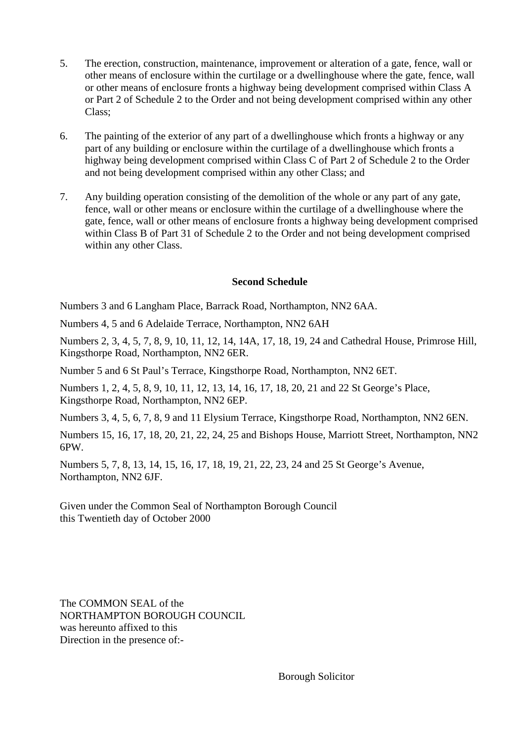- 5. The erection, construction, maintenance, improvement or alteration of a gate, fence, wall or other means of enclosure within the curtilage or a dwellinghouse where the gate, fence, wall or other means of enclosure fronts a highway being development comprised within Class A or Part 2 of Schedule 2 to the Order and not being development comprised within any other Class;
- 6. The painting of the exterior of any part of a dwellinghouse which fronts a highway or any part of any building or enclosure within the curtilage of a dwellinghouse which fronts a highway being development comprised within Class C of Part 2 of Schedule 2 to the Order and not being development comprised within any other Class; and
- 7. Any building operation consisting of the demolition of the whole or any part of any gate, fence, wall or other means or enclosure within the curtilage of a dwellinghouse where the gate, fence, wall or other means of enclosure fronts a highway being development comprised within Class B of Part 31 of Schedule 2 to the Order and not being development comprised within any other Class.

### **Second Schedule**

Numbers 3 and 6 Langham Place, Barrack Road, Northampton, NN2 6AA.

Numbers 4, 5 and 6 Adelaide Terrace, Northampton, NN2 6AH

Numbers 2, 3, 4, 5, 7, 8, 9, 10, 11, 12, 14, 14A, 17, 18, 19, 24 and Cathedral House, Primrose Hill, Kingsthorpe Road, Northampton, NN2 6ER.

Number 5 and 6 St Paul's Terrace, Kingsthorpe Road, Northampton, NN2 6ET.

Numbers 1, 2, 4, 5, 8, 9, 10, 11, 12, 13, 14, 16, 17, 18, 20, 21 and 22 St George's Place, Kingsthorpe Road, Northampton, NN2 6EP.

Numbers 3, 4, 5, 6, 7, 8, 9 and 11 Elysium Terrace, Kingsthorpe Road, Northampton, NN2 6EN.

Numbers 15, 16, 17, 18, 20, 21, 22, 24, 25 and Bishops House, Marriott Street, Northampton, NN2 6PW.

Numbers 5, 7, 8, 13, 14, 15, 16, 17, 18, 19, 21, 22, 23, 24 and 25 St George's Avenue, Northampton, NN2 6JF.

Given under the Common Seal of Northampton Borough Council this Twentieth day of October 2000

The COMMON SEAL of the NORTHAMPTON BOROUGH COUNCIL was hereunto affixed to this Direction in the presence of:-

Borough Solicitor